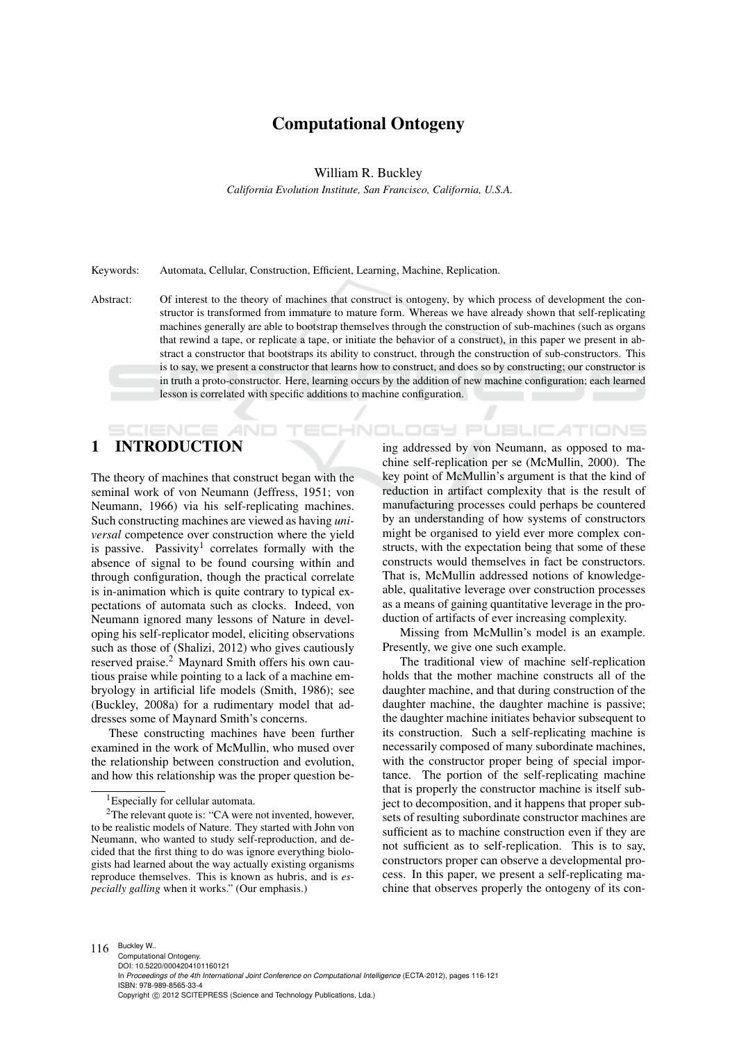## Computational Ontogeny

William R. Buckley

*California Evolution Institute, San Francisco, California, U.S.A.*

Keywords: Automata, Cellular, Construction, Efficient, Learning, Machine, Replication.

Abstract: Of interest to the theory of machines that construct is ontogeny, by which process of development the constructor is transformed from immature to mature form. Whereas we have already shown that self-replicating machines generally are able to bootstrap themselves through the construction of sub-machines (such as organs that rewind a tape, or replicate a tape, or initiate the behavior of a construct), in this paper we present in abstract a constructor that bootstraps its ability to construct, through the construction of sub-constructors. This is to say, we present a constructor that learns how to construct, and does so by constructing; our constructor is in truth a proto-constructor. Here, learning occurs by the addition of new machine configuration; each learned lesson is correlated with specific additions to machine configuration.

# 1 INTRODUCTION

The theory of machines that construct began with the seminal work of von Neumann (Jeffress, 1951; von Neumann, 1966) via his self-replicating machines. Such constructing machines are viewed as having *universal* competence over construction where the yield is passive. Passivity<sup>1</sup> correlates formally with the absence of signal to be found coursing within and through configuration, though the practical correlate is in-animation which is quite contrary to typical expectations of automata such as clocks. Indeed, von Neumann ignored many lessons of Nature in developing his self-replicator model, eliciting observations such as those of (Shalizi, 2012) who gives cautiously reserved praise.<sup>2</sup> Maynard Smith offers his own cautious praise while pointing to a lack of a machine embryology in artificial life models (Smith, 1986); see (Buckley, 2008a) for a rudimentary model that addresses some of Maynard Smith's concerns.

These constructing machines have been further examined in the work of McMullin, who mused over the relationship between construction and evolution, and how this relationship was the proper question being addressed by von Neumann, as opposed to machine self-replication per se (McMullin, 2000). The key point of McMullin's argument is that the kind of reduction in artifact complexity that is the result of manufacturing processes could perhaps be countered by an understanding of how systems of constructors might be organised to yield ever more complex constructs, with the expectation being that some of these constructs would themselves in fact be constructors. That is, McMullin addressed notions of knowledgeable, qualitative leverage over construction processes as a means of gaining quantitative leverage in the production of artifacts of ever increasing complexity.

ATIONS

Missing from McMullin's model is an example. Presently, we give one such example.

The traditional view of machine self-replication holds that the mother machine constructs all of the daughter machine, and that during construction of the daughter machine, the daughter machine is passive; the daughter machine initiates behavior subsequent to its construction. Such a self-replicating machine is necessarily composed of many subordinate machines, with the constructor proper being of special importance. The portion of the self-replicating machine that is properly the constructor machine is itself subject to decomposition, and it happens that proper subsets of resulting subordinate constructor machines are sufficient as to machine construction even if they are not sufficient as to self-replication. This is to say, constructors proper can observe a developmental process. In this paper, we present a self-replicating machine that observes properly the ontogeny of its con-

<sup>&</sup>lt;sup>1</sup>Especially for cellular automata.

<sup>2</sup>The relevant quote is: "CA were not invented, however, to be realistic models of Nature. They started with John von Neumann, who wanted to study self-reproduction, and decided that the first thing to do was ignore everything biologists had learned about the way actually existing organisms reproduce themselves. This is known as hubris, and is *especially galling* when it works." (Our emphasis.)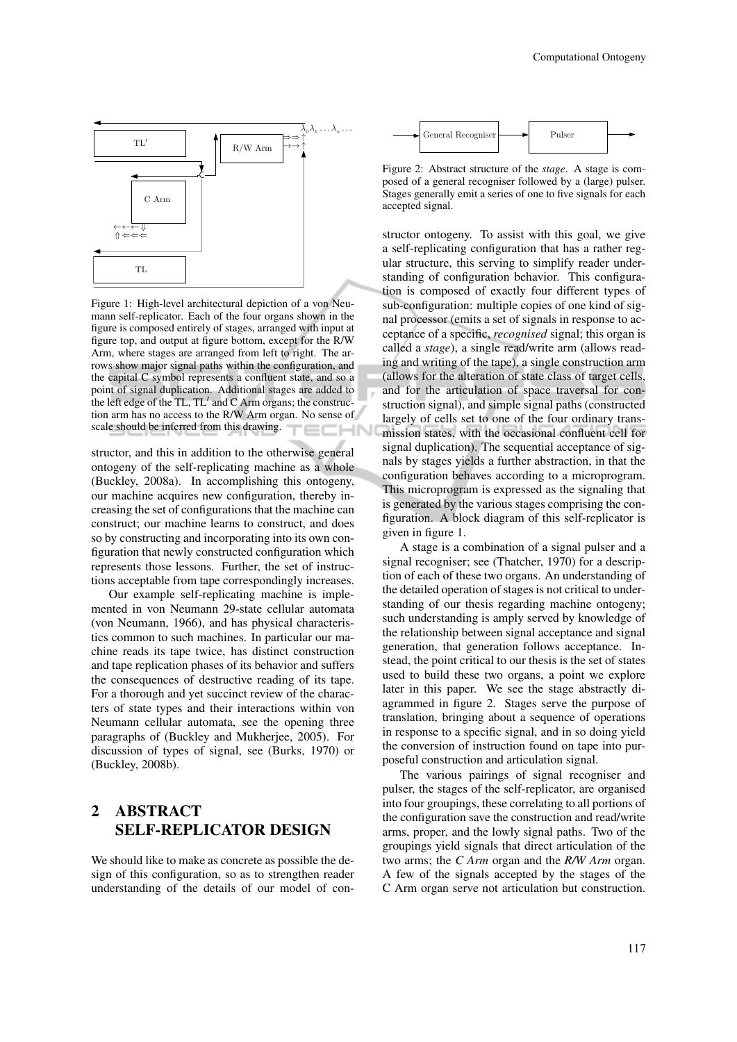

Figure 1: High-level architectural depiction of a von Neumann self-replicator. Each of the four organs shown in the figure is composed entirely of stages, arranged with input at figure top, and output at figure bottom, except for the R/W Arm, where stages are arranged from left to right. The arrows show major signal paths within the configuration, and the capital C symbol represents a confluent state, and so a point of signal duplication. Additional stages are added to the left edge of the TL,  $TL'$  and C Arm organs; the construction arm has no access to the R/W Arm organ. No sense of scale should be inferred from this drawing.

structor, and this in addition to the otherwise general ontogeny of the self-replicating machine as a whole (Buckley, 2008a). In accomplishing this ontogeny, our machine acquires new configuration, thereby increasing the set of configurations that the machine can construct; our machine learns to construct, and does so by constructing and incorporating into its own configuration that newly constructed configuration which represents those lessons. Further, the set of instructions acceptable from tape correspondingly increases.

Our example self-replicating machine is implemented in von Neumann 29-state cellular automata (von Neumann, 1966), and has physical characteristics common to such machines. In particular our machine reads its tape twice, has distinct construction and tape replication phases of its behavior and suffers the consequences of destructive reading of its tape. For a thorough and yet succinct review of the characters of state types and their interactions within von Neumann cellular automata, see the opening three paragraphs of (Buckley and Mukherjee, 2005). For discussion of types of signal, see (Burks, 1970) or (Buckley, 2008b).

## 2 ABSTRACT SELF-REPLICATOR DESIGN

We should like to make as concrete as possible the design of this configuration, so as to strengthen reader understanding of the details of our model of con-



Figure 2: Abstract structure of the *stage*. A stage is composed of a general recogniser followed by a (large) pulser. Stages generally emit a series of one to five signals for each accepted signal.

structor ontogeny. To assist with this goal, we give a self-replicating configuration that has a rather regular structure, this serving to simplify reader understanding of configuration behavior. This configuration is composed of exactly four different types of sub-configuration: multiple copies of one kind of signal processor (emits a set of signals in response to acceptance of a specific, *recognised* signal; this organ is called a *stage*), a single read/write arm (allows reading and writing of the tape), a single construction arm (allows for the alteration of state class of target cells, and for the articulation of space traversal for construction signal), and simple signal paths (constructed largely of cells set to one of the four ordinary transmission states, with the occasional confluent cell for signal duplication). The sequential acceptance of signals by stages yields a further abstraction, in that the configuration behaves according to a microprogram. This microprogram is expressed as the signaling that is generated by the various stages comprising the configuration. A block diagram of this self-replicator is given in figure 1.

A stage is a combination of a signal pulser and a signal recogniser; see (Thatcher, 1970) for a description of each of these two organs. An understanding of the detailed operation of stages is not critical to understanding of our thesis regarding machine ontogeny; such understanding is amply served by knowledge of the relationship between signal acceptance and signal generation, that generation follows acceptance. Instead, the point critical to our thesis is the set of states used to build these two organs, a point we explore later in this paper. We see the stage abstractly diagrammed in figure 2. Stages serve the purpose of translation, bringing about a sequence of operations in response to a specific signal, and in so doing yield the conversion of instruction found on tape into purposeful construction and articulation signal.

The various pairings of signal recogniser and pulser, the stages of the self-replicator, are organised into four groupings, these correlating to all portions of the configuration save the construction and read/write arms, proper, and the lowly signal paths. Two of the groupings yield signals that direct articulation of the two arms; the *C Arm* organ and the *R/W Arm* organ. A few of the signals accepted by the stages of the C Arm organ serve not articulation but construction.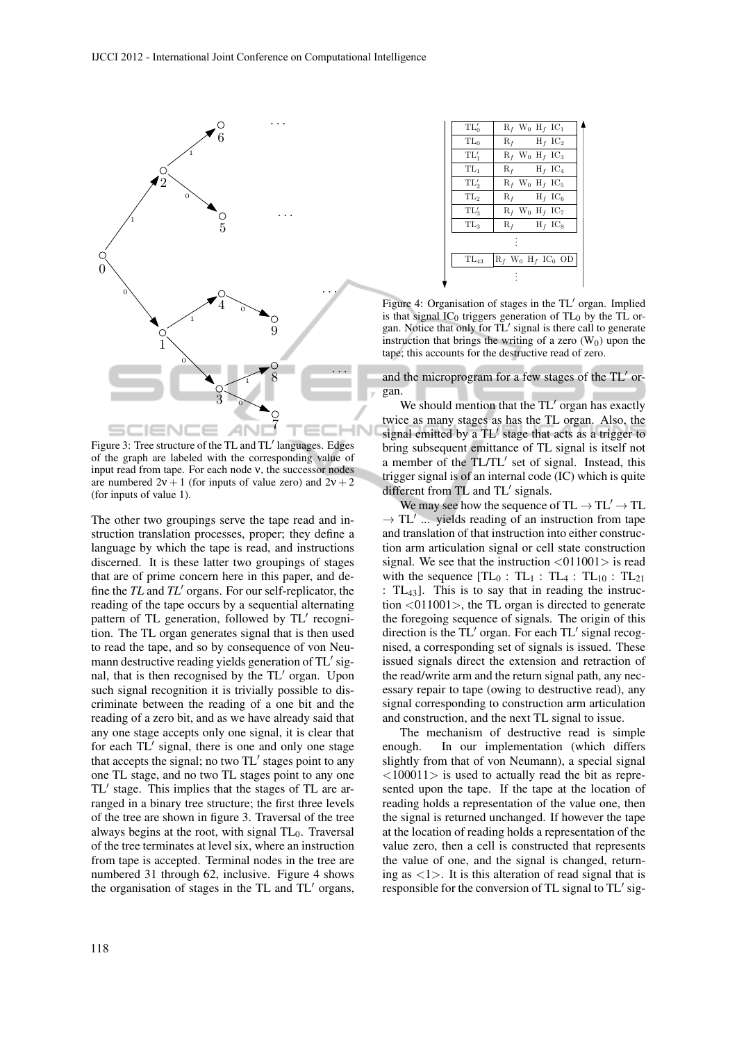

Figure 3: Tree structure of the TL and TL' languages. Edges of the graph are labeled with the corresponding value of input read from tape. For each node ν, the successor nodes are numbered  $2v + 1$  (for inputs of value zero) and  $2v + 2$ (for inputs of value 1).

The other two groupings serve the tape read and instruction translation processes, proper; they define a language by which the tape is read, and instructions discerned. It is these latter two groupings of stages that are of prime concern here in this paper, and define the  $TL$  and  $TL'$  organs. For our self-replicator, the reading of the tape occurs by a sequential alternating pattern of TL generation, followed by TL' recognition. The TL organ generates signal that is then used to read the tape, and so by consequence of von Neumann destructive reading yields generation of  $TL'$  signal, that is then recognised by the TL' organ. Upon such signal recognition it is trivially possible to discriminate between the reading of a one bit and the reading of a zero bit, and as we have already said that any one stage accepts only one signal, it is clear that for each TL' signal, there is one and only one stage that accepts the signal; no two  $TL'$  stages point to any one TL stage, and no two TL stages point to any one  $TL'$  stage. This implies that the stages of  $TL$  are arranged in a binary tree structure; the first three levels of the tree are shown in figure 3. Traversal of the tree always begins at the root, with signal  $TL_0$ . Traversal of the tree terminates at level six, where an instruction from tape is accepted. Terminal nodes in the tree are numbered 31 through 62, inclusive. Figure 4 shows the organisation of stages in the  $TL$  and  $TL'$  organs,

| $TL'_0$         | $R_f$ W <sub>0</sub> H <sub>f</sub> IC <sub>1</sub>    |  |  |  |  |  |
|-----------------|--------------------------------------------------------|--|--|--|--|--|
| $TL_0$          | $R_f$ $H_f$ $IC_2$                                     |  |  |  |  |  |
| $TL_1'$         | $R_f$ W <sub>0</sub> H <sub>f</sub> IC <sub>3</sub>    |  |  |  |  |  |
| $TL_1$          | $R_f$ $H_f$ $IC_4$                                     |  |  |  |  |  |
| $TL'_{2}$       | $R_f$ W <sub>0</sub> H <sub>f</sub> IC <sub>5</sub>    |  |  |  |  |  |
| TL <sub>2</sub> | $R_f$ $H_f$ $IC_6$                                     |  |  |  |  |  |
| $TL_3'$         | $R_f$ W <sub>0</sub> H <sub>f</sub> IC <sub>7</sub>    |  |  |  |  |  |
| $TL_3$          | $R_f$ $H_f$ $IC_8$                                     |  |  |  |  |  |
|                 |                                                        |  |  |  |  |  |
| $TL_{43}$       | $R_f$ W <sub>0</sub> H <sub>f</sub> IC <sub>0</sub> OD |  |  |  |  |  |
|                 |                                                        |  |  |  |  |  |

Figure 4: Organisation of stages in the TL' organ. Implied is that signal  $IC_0$  triggers generation of  $TL_0$  by the TL organ. Notice that only for TL' signal is there call to generate instruction that brings the writing of a zero  $(W_0)$  upon the tape; this accounts for the destructive read of zero.

and the microprogram for a few stages of the  $TL'$  organ.

We should mention that the  $TL'$  organ has exactly twice as many stages as has the TL organ. Also, the signal emitted by a TL' stage that acts as a trigger to bring subsequent emittance of TL signal is itself not a member of the TL/TL' set of signal. Instead, this trigger signal is of an internal code (IC) which is quite different from  $TL$  and  $TL'$  signals.

We may see how the sequence of  $TL \rightarrow TL' \rightarrow TL$  $\rightarrow$  TL'... yields reading of an instruction from tape and translation of that instruction into either construction arm articulation signal or cell state construction signal. We see that the instruction  $\langle 011001 \rangle$  is read with the sequence  $[TL_0 : TL_1 : TL_4 : TL_{10} : TL_{21}]$ : TL43]. This is to say that in reading the instruction  $\langle 011001 \rangle$ , the TL organ is directed to generate the foregoing sequence of signals. The origin of this direction is the  $TL'$  organ. For each  $TL'$  signal recognised, a corresponding set of signals is issued. These issued signals direct the extension and retraction of the read/write arm and the return signal path, any necessary repair to tape (owing to destructive read), any signal corresponding to construction arm articulation and construction, and the next TL signal to issue.

The mechanism of destructive read is simple enough. In our implementation (which differs slightly from that of von Neumann), a special signal  $\langle 100011 \rangle$  is used to actually read the bit as represented upon the tape. If the tape at the location of reading holds a representation of the value one, then the signal is returned unchanged. If however the tape at the location of reading holds a representation of the value zero, then a cell is constructed that represents the value of one, and the signal is changed, returning as  $\langle 1 \rangle$ . It is this alteration of read signal that is responsible for the conversion of TL signal to  $TL'$  sig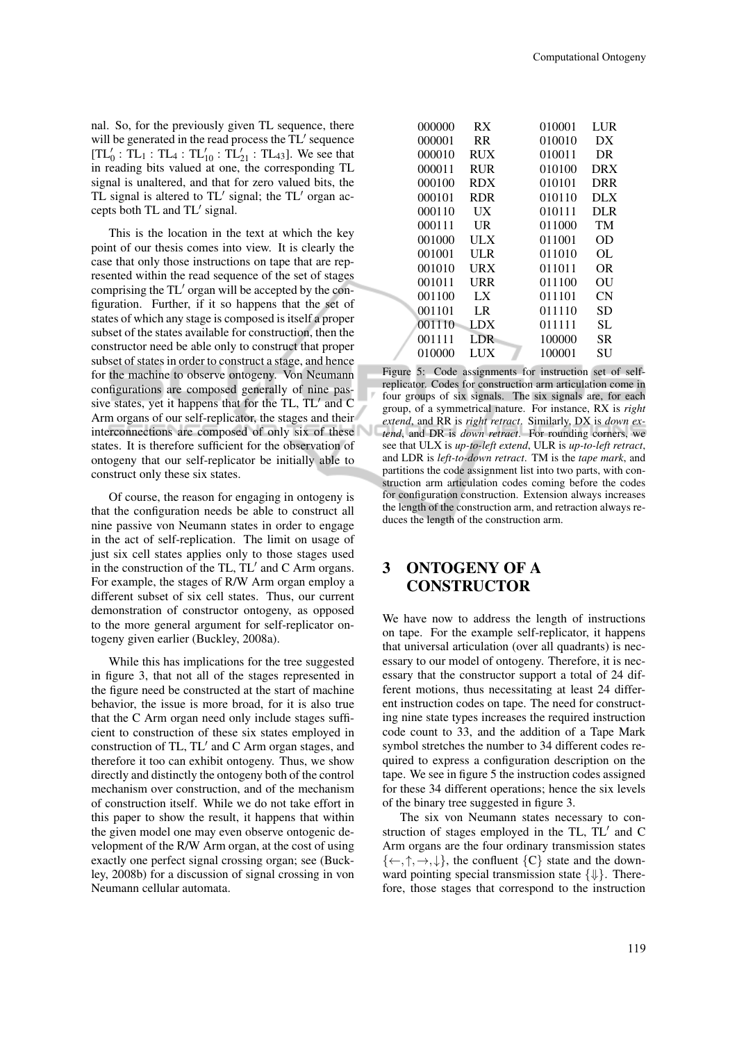nal. So, for the previously given TL sequence, there will be generated in the read process the  $TL'$  sequence  $[TL'_0 : TL_1 : TL_4 : TL'_{10} : TL'_{21} : TL_{43}]$ . We see that in reading bits valued at one, the corresponding TL signal is unaltered, and that for zero valued bits, the TL signal is altered to  $TL'$  signal; the  $TL'$  organ accepts both  $TL$  and  $TL'$  signal.

This is the location in the text at which the key point of our thesis comes into view. It is clearly the case that only those instructions on tape that are represented within the read sequence of the set of stages comprising the  $TL'$  organ will be accepted by the configuration. Further, if it so happens that the set of states of which any stage is composed is itself a proper subset of the states available for construction, then the constructor need be able only to construct that proper subset of states in order to construct a stage, and hence for the machine to observe ontogeny. Von Neumann configurations are composed generally of nine passive states, yet it happens that for the  $TL$ ,  $TL'$  and  $C$ Arm organs of our self-replicator, the stages and their interconnections are composed of only six of these states. It is therefore sufficient for the observation of ontogeny that our self-replicator be initially able to construct only these six states.

Of course, the reason for engaging in ontogeny is that the configuration needs be able to construct all nine passive von Neumann states in order to engage in the act of self-replication. The limit on usage of just six cell states applies only to those stages used in the construction of the TL,  $TL'$  and C Arm organs. For example, the stages of R/W Arm organ employ a different subset of six cell states. Thus, our current demonstration of constructor ontogeny, as opposed to the more general argument for self-replicator ontogeny given earlier (Buckley, 2008a).

While this has implications for the tree suggested in figure 3, that not all of the stages represented in the figure need be constructed at the start of machine behavior, the issue is more broad, for it is also true that the C Arm organ need only include stages sufficient to construction of these six states employed in construction of TL,  $TL'$  and C Arm organ stages, and therefore it too can exhibit ontogeny. Thus, we show directly and distinctly the ontogeny both of the control mechanism over construction, and of the mechanism of construction itself. While we do not take effort in this paper to show the result, it happens that within the given model one may even observe ontogenic development of the R/W Arm organ, at the cost of using exactly one perfect signal crossing organ; see (Buckley, 2008b) for a discussion of signal crossing in von Neumann cellular automata.

| 000000 | RX         | 010001 | LUR        |
|--------|------------|--------|------------|
| 000001 | RR         | 010010 | DX         |
| 000010 | <b>RUX</b> | 010011 | DR         |
| 000011 | <b>RUR</b> | 010100 | <b>DRX</b> |
| 000100 | <b>RDX</b> | 010101 | <b>DRR</b> |
| 000101 | <b>RDR</b> | 010110 | DLX        |
| 000110 | UX         | 010111 | <b>DLR</b> |
| 000111 | UR         | 011000 | TM         |
| 001000 | ULX        | 011001 | OD         |
| 001001 | ULR        | 011010 | OL         |
| 001010 | URX        | 011011 | OR         |
| 001011 | URR        | 011100 | OU         |
| 001100 | LX         | 011101 | CN         |
| 001101 | LR         | 011110 | SD         |
| 001110 | LDX        | 011111 | SL         |
| 001111 | LDR        | 100000 | SR.        |
| 010000 | LUX        | 100001 | SU         |

Figure 5: Code assignments for instruction set of selfreplicator. Codes for construction arm articulation come in four groups of six signals. The six signals are, for each group, of a symmetrical nature. For instance, RX is *right extend*, and RR is *right retract*. Similarly, DX is *down extend*, and DR is *down retract*. For rounding corners, we see that ULX is *up-to-left extend*, ULR is *up-to-left retract*, and LDR is *left-to-down retract*. TM is the *tape mark*, and partitions the code assignment list into two parts, with construction arm articulation codes coming before the codes for configuration construction. Extension always increases the length of the construction arm, and retraction always reduces the length of the construction arm.

## 3 ONTOGENY OF A **CONSTRUCTOR**

We have now to address the length of instructions on tape. For the example self-replicator, it happens that universal articulation (over all quadrants) is necessary to our model of ontogeny. Therefore, it is necessary that the constructor support a total of 24 different motions, thus necessitating at least 24 different instruction codes on tape. The need for constructing nine state types increases the required instruction code count to 33, and the addition of a Tape Mark symbol stretches the number to 34 different codes required to express a configuration description on the tape. We see in figure 5 the instruction codes assigned for these 34 different operations; hence the six levels of the binary tree suggested in figure 3.

The six von Neumann states necessary to construction of stages employed in the TL,  $TL'$  and C Arm organs are the four ordinary transmission states  $\{\leftarrow, \uparrow, \rightarrow, \downarrow\}$ , the confluent  $\{C\}$  state and the downward pointing special transmission state  $\{\Downarrow\}$ . Therefore, those stages that correspond to the instruction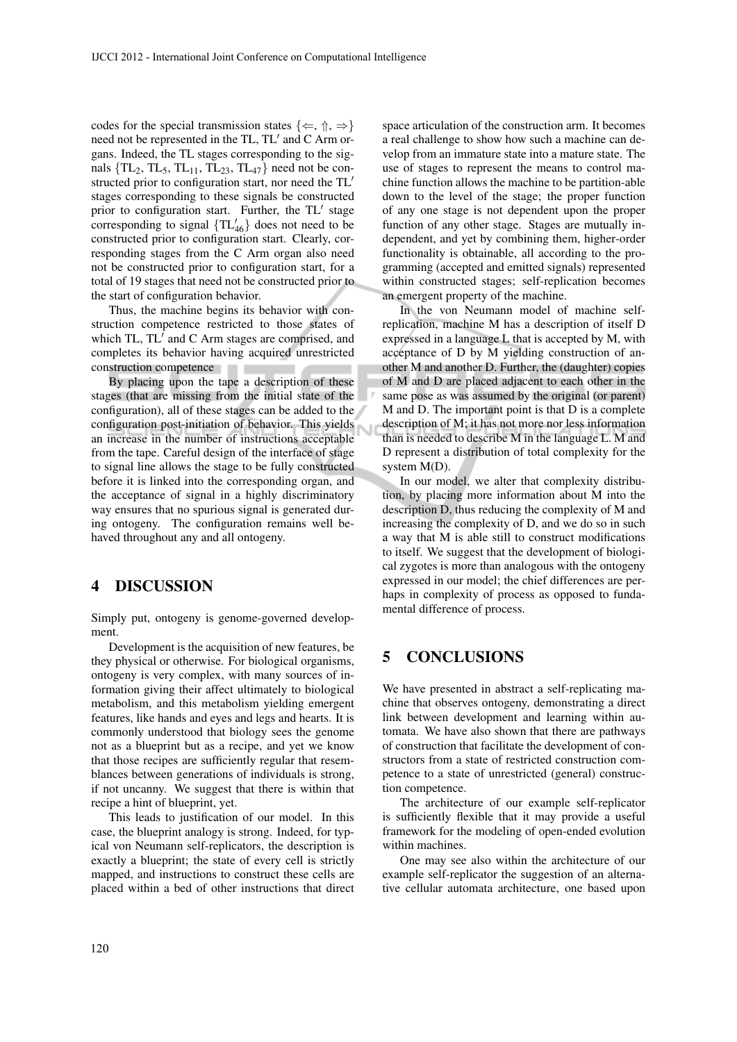codes for the special transmission states  $\{\Leftarrow, \Uparrow, \Rightarrow\}$ need not be represented in the  $TL$ ,  $TL'$  and  $C$  Arm organs. Indeed, the TL stages corresponding to the signals  $\{TL_2, TL_5, TL_{11}, TL_{23}, TL_{47}\}$  need not be constructed prior to configuration start, nor need the  $TL'$ stages corresponding to these signals be constructed prior to configuration start. Further, the  $TL'$  stage corresponding to signal  $\{TL_{46}\}\)$  does not need to be constructed prior to configuration start. Clearly, corresponding stages from the C Arm organ also need not be constructed prior to configuration start, for a total of 19 stages that need not be constructed prior to the start of configuration behavior.

Thus, the machine begins its behavior with construction competence restricted to those states of which TL,  $TL'$  and C Arm stages are comprised, and completes its behavior having acquired unrestricted construction competence

By placing upon the tape a description of these stages (that are missing from the initial state of the configuration), all of these stages can be added to the configuration post-initiation of behavior. This yields an increase in the number of instructions acceptable from the tape. Careful design of the interface of stage to signal line allows the stage to be fully constructed before it is linked into the corresponding organ, and the acceptance of signal in a highly discriminatory way ensures that no spurious signal is generated during ontogeny. The configuration remains well behaved throughout any and all ontogeny.

#### 4 DISCUSSION

Simply put, ontogeny is genome-governed development.

Development is the acquisition of new features, be they physical or otherwise. For biological organisms, ontogeny is very complex, with many sources of information giving their affect ultimately to biological metabolism, and this metabolism yielding emergent features, like hands and eyes and legs and hearts. It is commonly understood that biology sees the genome not as a blueprint but as a recipe, and yet we know that those recipes are sufficiently regular that resemblances between generations of individuals is strong, if not uncanny. We suggest that there is within that recipe a hint of blueprint, yet.

This leads to justification of our model. In this case, the blueprint analogy is strong. Indeed, for typical von Neumann self-replicators, the description is exactly a blueprint; the state of every cell is strictly mapped, and instructions to construct these cells are placed within a bed of other instructions that direct

space articulation of the construction arm. It becomes a real challenge to show how such a machine can develop from an immature state into a mature state. The use of stages to represent the means to control machine function allows the machine to be partition-able down to the level of the stage; the proper function of any one stage is not dependent upon the proper function of any other stage. Stages are mutually independent, and yet by combining them, higher-order functionality is obtainable, all according to the programming (accepted and emitted signals) represented within constructed stages; self-replication becomes an emergent property of the machine.

In the von Neumann model of machine selfreplication, machine M has a description of itself D expressed in a language L that is accepted by M, with acceptance of D by M yielding construction of another M and another D. Further, the (daughter) copies of M and D are placed adjacent to each other in the same pose as was assumed by the original (or parent) M and D. The important point is that D is a complete description of M; it has not more nor less information than is needed to describe M in the language L. M and D represent a distribution of total complexity for the system M(D).

In our model, we alter that complexity distribution, by placing more information about M into the description D, thus reducing the complexity of M and increasing the complexity of D, and we do so in such a way that M is able still to construct modifications to itself. We suggest that the development of biological zygotes is more than analogous with the ontogeny expressed in our model; the chief differences are perhaps in complexity of process as opposed to fundamental difference of process.

### 5 CONCLUSIONS

Ū

We have presented in abstract a self-replicating machine that observes ontogeny, demonstrating a direct link between development and learning within automata. We have also shown that there are pathways of construction that facilitate the development of constructors from a state of restricted construction competence to a state of unrestricted (general) construction competence.

The architecture of our example self-replicator is sufficiently flexible that it may provide a useful framework for the modeling of open-ended evolution within machines.

One may see also within the architecture of our example self-replicator the suggestion of an alternative cellular automata architecture, one based upon